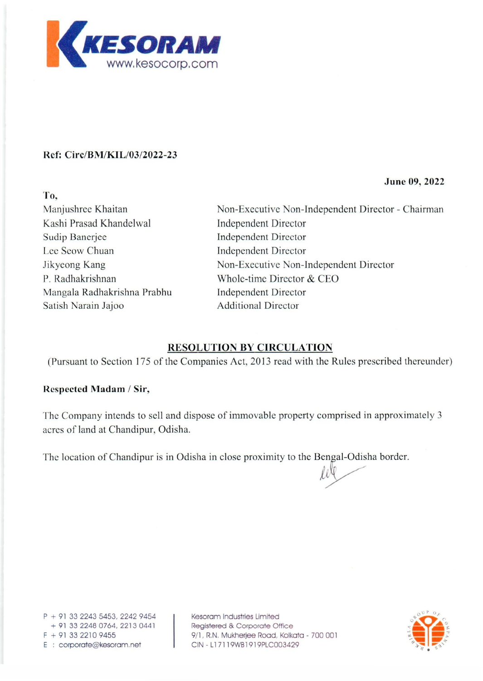

### **Ref: Circ/BM/KIL/03/2022-23**

**June 09, 2022** 

| To,                         |                                                   |  |
|-----------------------------|---------------------------------------------------|--|
| Manjushree Khaitan          | Non-Executive Non-Independent Director - Chairman |  |
| Kashi Prasad Khandelwal     | <b>Independent Director</b>                       |  |
| Sudip Banerjee              | <b>Independent Director</b>                       |  |
| Lee Seow Chuan              | <b>Independent Director</b>                       |  |
| Jikyeong Kang               | Non-Executive Non-Independent Director            |  |
| P. Radhakrishnan            | Whole-time Director & CEO                         |  |
| Mangala Radhakrishna Prabhu | <b>Independent Director</b>                       |  |
| Satish Narain Jajoo         | <b>Additional Director</b>                        |  |

## **RESOLUTION BY CIRCULATION**

(Pursuant to Section 175 of the Companies Act, 2013 read with the Rules prescribed thereunder)

#### **Respected Madam / Sir,**

The Company intends to sell and dispose of immovable property comprised in approximately 3 acres of land at Chandipur, Odisha.

The location of Chandipur is in Odisha in close proximity to the Bengal-Odisha border.

P + 91 33 2243 5453, 2242 9454 + 91 3322480764,22130441  $F + 91 33 2210 9455$ E : corporate@kesoram.net

Kesoram Industries Limited Registered & Corporate Office 9/1, R.N. Mukherjee Road, Kolkata - 700 001 CIN - L17119WB1919PLC003429

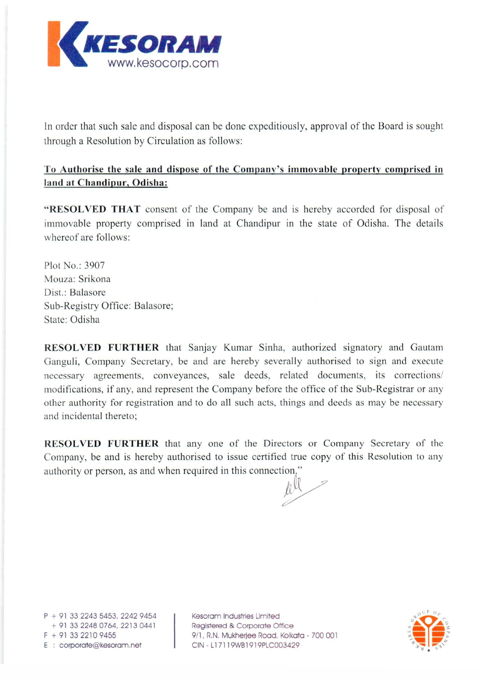

In order that such sale and disposal can be done expeditiously, approval of the Board is sought through a Resolution by Circulation as follows:

## **To Authorise the sale and dispose of the Company's immovable property comprised in land at Chandipur, Odisha:**

**"RESOLVED THAT** consent of the Company be and is hereby accorded for disposal of immovable property comprised in land at Chandipur in the state of Odisha. The details whereof are follows:

Plot No.: 3907 Mouza: Srikona Dist.: Balasore Sub-Registry Office: Balasore; State: Odisha

**RESOL VED FURTHER** that Sanjay Kumar Sinha, authorized signatory and Gautam Ganguli, Company Secretary, be and are hereby severally authorised to sign and execute necessary agreements, conveyances, sale deeds, related documents, its corrections/ modifications, if any, and represent the Company before the office of the Sub-Registrar or any other authority for registration and to do all such acts, things and deeds as may be necessary and incidental thereto;

**RESOL VED FURTHER** that anyone of the Directors or Company Secretary of the Company, be and is hereby authorised to issue certified true copy of this Resolution to any authority or person, as and when required in this connection."

~

 $P + 91$  33 2243 5453, 2242 9454 + 913322480764,22130441 <sup>F</sup>+ 91 332210 9455 E : corporate@kesoram.net

Kesoram Industries Limited Registered & Corporate Office 9/1, R.N. Mukherjee Road, Kolkata - 700 001 CIN - L17119WB1919PLC003429